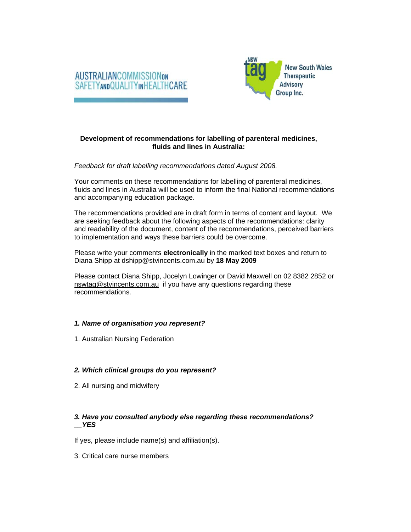



## **Development of recommendations for labelling of parenteral medicines, fluids and lines in Australia:**

*Feedback for draft labelling recommendations dated August 2008.* 

Your comments on these recommendations for labelling of parenteral medicines, fluids and lines in Australia will be used to inform the final National recommendations and accompanying education package.

The recommendations provided are in draft form in terms of content and layout. We are seeking feedback about the following aspects of the recommendations: clarity and readability of the document, content of the recommendations, perceived barriers to implementation and ways these barriers could be overcome.

Please write your comments **electronically** in the marked text boxes and return to Diana Shipp at dshipp@stvincents.com.au by **18 May 2009** 

Please contact Diana Shipp, Jocelyn Lowinger or David Maxwell on 02 8382 2852 or nswtag@stvincents.com.au if you have any questions regarding these recommendations.

## *1. Name of organisation you represent?*

1. Australian Nursing Federation

## *2. Which clinical groups do you represent?*

2. All nursing and midwifery

# *3. Have you consulted anybody else regarding these recommendations? \_\_YES*

If yes, please include name(s) and affiliation(s).

3. Critical care nurse members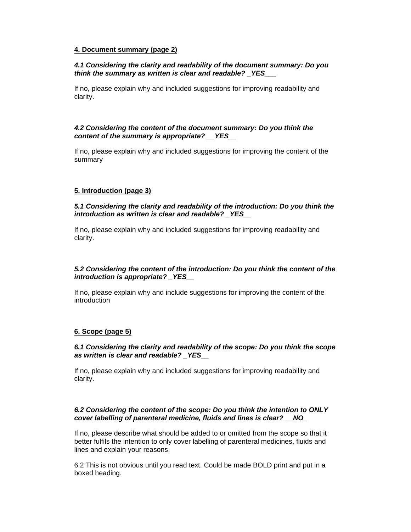### **4. Document summary (page 2)**

### *4.1 Considering the clarity and readability of the document summary: Do you think the summary as written is clear and readable? \_YES\_\_\_*

If no, please explain why and included suggestions for improving readability and clarity.

### *4.2 Considering the content of the document summary: Do you think the content of the summary is appropriate? \_\_YES\_\_*

If no, please explain why and included suggestions for improving the content of the summary

## **5. Introduction (page 3)**

### *5.1 Considering the clarity and readability of the introduction: Do you think the introduction as written is clear and readable? \_YES\_\_*

If no, please explain why and included suggestions for improving readability and clarity.

## *5.2 Considering the content of the introduction: Do you think the content of the introduction is appropriate? \_YES\_\_*

If no, please explain why and include suggestions for improving the content of the introduction

## **6. Scope (page 5)**

#### *6.1 Considering the clarity and readability of the scope: Do you think the scope as written is clear and readable? \_YES\_\_*

If no, please explain why and included suggestions for improving readability and clarity.

#### *6.2 Considering the content of the scope: Do you think the intention to ONLY cover labelling of parenteral medicine, fluids and lines is clear? \_\_NO\_*

If no, please describe what should be added to or omitted from the scope so that it better fulfils the intention to only cover labelling of parenteral medicines, fluids and lines and explain your reasons.

6.2 This is not obvious until you read text. Could be made BOLD print and put in a boxed heading.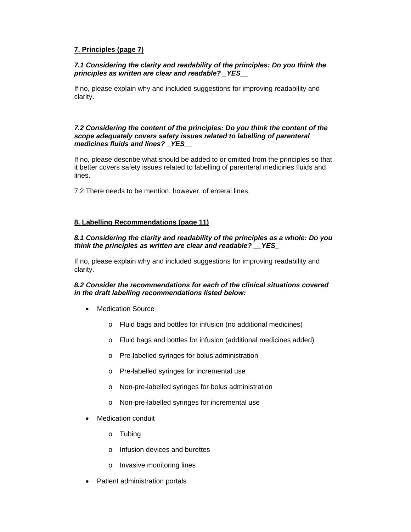# **7. Principles (page 7)**

## *7.1 Considering the clarity and readability of the principles: Do you think the principles as written are clear and readable? \_YES\_\_*

If no, please explain why and included suggestions for improving readability and clarity.

#### *7.2 Considering the content of the principles: Do you think the content of the scope adequately covers safety issues related to labelling of parenteral medicines fluids and lines? \_YES\_\_*

If no, please describe what should be added to or omitted from the principles so that it better covers safety issues related to labelling of parenteral medicines fluids and lines.

7.2 There needs to be mention, however, of enteral lines.

## **8. Labelling Recommendations (page 11)**

#### *8.1 Considering the clarity and readability of the principles as a whole: Do you think the principles as written are clear and readable? \_\_YES\_*

If no, please explain why and included suggestions for improving readability and clarity.

## *8.2 Consider the recommendations for each of the clinical situations covered in the draft labelling recommendations listed below:*

- Medication Source
	- o Fluid bags and bottles for infusion (no additional medicines)
	- o Fluid bags and bottles for infusion (additional medicines added)
	- o Pre-labelled syringes for bolus administration
	- o Pre-labelled syringes for incremental use
	- o Non-pre-labelled syringes for bolus administration
	- o Non-pre-labelled syringes for incremental use
- **Medication conduit** 
	- o Tubing
	- o Infusion devices and burettes
	- o Invasive monitoring lines
- Patient administration portals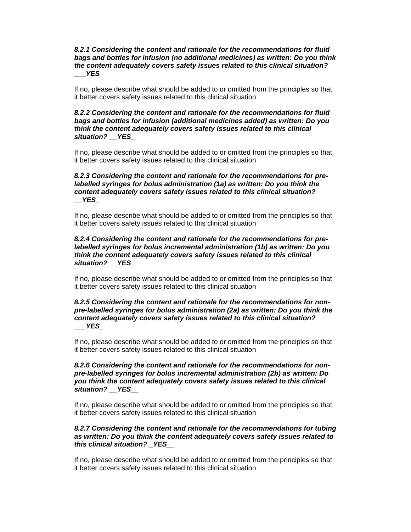*8.2.1 Considering the content and rationale for the recommendations for fluid bags and bottles for infusion (no additional medicines) as written: Do you think the content adequately covers safety issues related to this clinical situation? \_\_\_YES* 

If no, please describe what should be added to or omitted from the principles so that it better covers safety issues related to this clinical situation

#### *8.2.2 Considering the content and rationale for the recommendations for fluid bags and bottles for infusion (additional medicines added) as written: Do you think the content adequately covers safety issues related to this clinical situation? \_\_YES\_*

If no, please describe what should be added to or omitted from the principles so that it better covers safety issues related to this clinical situation

#### *8.2.3 Considering the content and rationale for the recommendations for prelabelled syringes for bolus administration (1a) as written: Do you think the content adequately covers safety issues related to this clinical situation? \_\_YES\_*

If no, please describe what should be added to or omitted from the principles so that it better covers safety issues related to this clinical situation

### *8.2.4 Considering the content and rationale for the recommendations for prelabelled syringes for bolus incremental administration (1b) as written: Do you think the content adequately covers safety issues related to this clinical situation? \_\_YES\_*

If no, please describe what should be added to or omitted from the principles so that it better covers safety issues related to this clinical situation

#### *8.2.5 Considering the content and rationale for the recommendations for nonpre-labelled syringes for bolus administration (2a) as written: Do you think the content adequately covers safety issues related to this clinical situation? \_\_\_YES\_*

If no, please describe what should be added to or omitted from the principles so that it better covers safety issues related to this clinical situation

#### *8.2.6 Considering the content and rationale for the recommendations for nonpre-labelled syringes for bolus incremental administration (2b) as written: Do you think the content adequately covers safety issues related to this clinical situation? \_\_YES\_\_*

If no, please describe what should be added to or omitted from the principles so that it better covers safety issues related to this clinical situation

### *8.2.7 Considering the content and rationale for the recommendations for tubing as written: Do you think the content adequately covers safety issues related to this clinical situation? \_YES\_\_*

If no, please describe what should be added to or omitted from the principles so that it better covers safety issues related to this clinical situation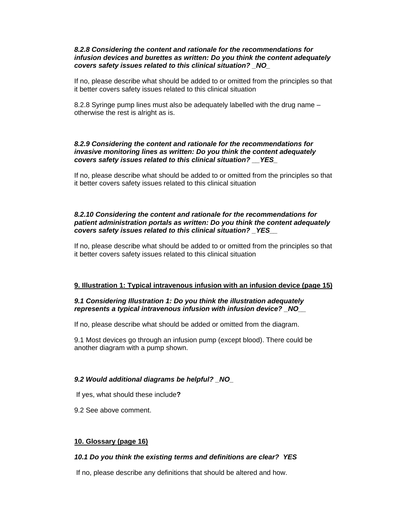#### *8.2.8 Considering the content and rationale for the recommendations for infusion devices and burettes as written: Do you think the content adequately covers safety issues related to this clinical situation? \_NO\_*

If no, please describe what should be added to or omitted from the principles so that it better covers safety issues related to this clinical situation

8.2.8 Syringe pump lines must also be adequately labelled with the drug name – otherwise the rest is alright as is.

#### *8.2.9 Considering the content and rationale for the recommendations for invasive monitoring lines as written: Do you think the content adequately covers safety issues related to this clinical situation? \_\_YES\_*

If no, please describe what should be added to or omitted from the principles so that it better covers safety issues related to this clinical situation

#### *8.2.10 Considering the content and rationale for the recommendations for patient administration portals as written: Do you think the content adequately covers safety issues related to this clinical situation? \_YES\_\_*

If no, please describe what should be added to or omitted from the principles so that it better covers safety issues related to this clinical situation

## **9. Illustration 1: Typical intravenous infusion with an infusion device (page 15)**

#### *9.1 Considering Illustration 1: Do you think the illustration adequately represents a typical intravenous infusion with infusion device? \_NO\_\_*

If no, please describe what should be added or omitted from the diagram.

9.1 Most devices go through an infusion pump (except blood). There could be another diagram with a pump shown.

#### *9.2 Would additional diagrams be helpful? \_NO\_*

If yes, what should these include**?** 

9.2 See above comment.

#### **10. Glossary (page 16)**

#### *10.1 Do you think the existing terms and definitions are clear? YES*

If no, please describe any definitions that should be altered and how.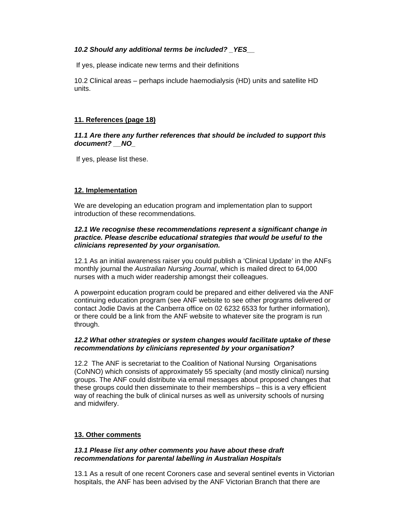### *10.2 Should any additional terms be included? \_YES\_\_*

If yes, please indicate new terms and their definitions

10.2 Clinical areas – perhaps include haemodialysis (HD) units and satellite HD units.

### **11. References (page 18)**

*11.1 Are there any further references that should be included to support this document? \_\_NO\_* 

If yes, please list these.

# **12. Implementation**

We are developing an education program and implementation plan to support introduction of these recommendations.

#### *12.1 We recognise these recommendations represent a significant change in practice. Please describe educational strategies that would be useful to the clinicians represented by your organisation.*

12.1 As an initial awareness raiser you could publish a 'Clinical Update' in the ANFs monthly journal the *Australian Nursing Journal*, which is mailed direct to 64,000 nurses with a much wider readership amongst their colleagues.

A powerpoint education program could be prepared and either delivered via the ANF continuing education program (see ANF website to see other programs delivered or contact Jodie Davis at the Canberra office on 02 6232 6533 for further information), or there could be a link from the ANF website to whatever site the program is run through.

#### *12.2 What other strategies or system changes would facilitate uptake of these recommendations by clinicians represented by your organisation?*

12.2 The ANF is secretariat to the Coalition of National Nursing Organisations (CoNNO) which consists of approximately 55 specialty (and mostly clinical) nursing groups. The ANF could distribute via email messages about proposed changes that these groups could then disseminate to their memberships – this is a very efficient way of reaching the bulk of clinical nurses as well as university schools of nursing and midwifery.

## **13. Other comments**

#### *13.1 Please list any other comments you have about these draft recommendations for parental labelling in Australian Hospitals*

13.1 As a result of one recent Coroners case and several sentinel events in Victorian hospitals, the ANF has been advised by the ANF Victorian Branch that there are